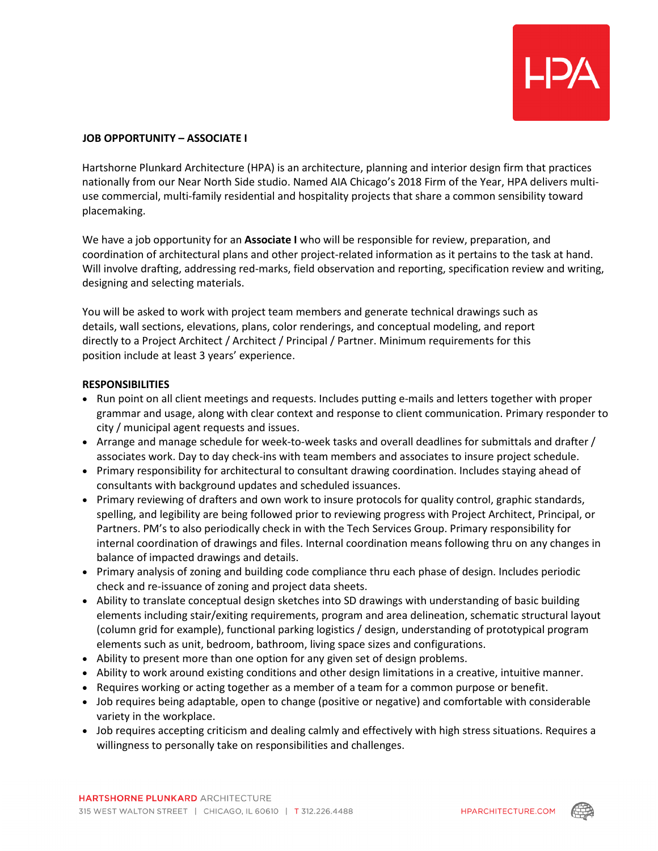

## **JOB OPPORTUNITY – ASSOCIATE I**

Hartshorne Plunkard Architecture (HPA) is an architecture, planning and interior design firm that practices nationally from our Near North Side studio. Named AIA Chicago's 2018 Firm of the Year, HPA delivers multiuse commercial, multi-family residential and hospitality projects that share a common sensibility toward placemaking.

We have a job opportunity for an **Associate I** who will be responsible for review, preparation, and coordination of architectural plans and other project-related information as it pertains to the task at hand. Will involve drafting, addressing red-marks, field observation and reporting, specification review and writing, designing and selecting materials.

You will be asked to work with project team members and generate technical drawings such as details, wall sections, elevations, plans, color renderings, and conceptual modeling, and report directly to a Project Architect / Architect / Principal / Partner. Minimum requirements for this position include at least 3 years' experience.

## **RESPONSIBILITIES**

- Run point on all client meetings and requests. Includes putting e-mails and letters together with proper grammar and usage, along with clear context and response to client communication. Primary responder to city / municipal agent requests and issues.
- Arrange and manage schedule for week-to-week tasks and overall deadlines for submittals and drafter / associates work. Day to day check-ins with team members and associates to insure project schedule.
- Primary responsibility for architectural to consultant drawing coordination. Includes staying ahead of consultants with background updates and scheduled issuances.
- Primary reviewing of drafters and own work to insure protocols for quality control, graphic standards, spelling, and legibility are being followed prior to reviewing progress with Project Architect, Principal, or Partners. PM's to also periodically check in with the Tech Services Group. Primary responsibility for internal coordination of drawings and files. Internal coordination means following thru on any changes in balance of impacted drawings and details.
- Primary analysis of zoning and building code compliance thru each phase of design. Includes periodic check and re-issuance of zoning and project data sheets.
- Ability to translate conceptual design sketches into SD drawings with understanding of basic building elements including stair/exiting requirements, program and area delineation, schematic structural layout (column grid for example), functional parking logistics / design, understanding of prototypical program elements such as unit, bedroom, bathroom, living space sizes and configurations.
- Ability to present more than one option for any given set of design problems.
- Ability to work around existing conditions and other design limitations in a creative, intuitive manner.
- Requires working or acting together as a member of a team for a common purpose or benefit.
- Job requires being adaptable, open to change (positive or negative) and comfortable with considerable variety in the workplace.
- Job requires accepting criticism and dealing calmly and effectively with high stress situations. Requires a willingness to personally take on responsibilities and challenges.